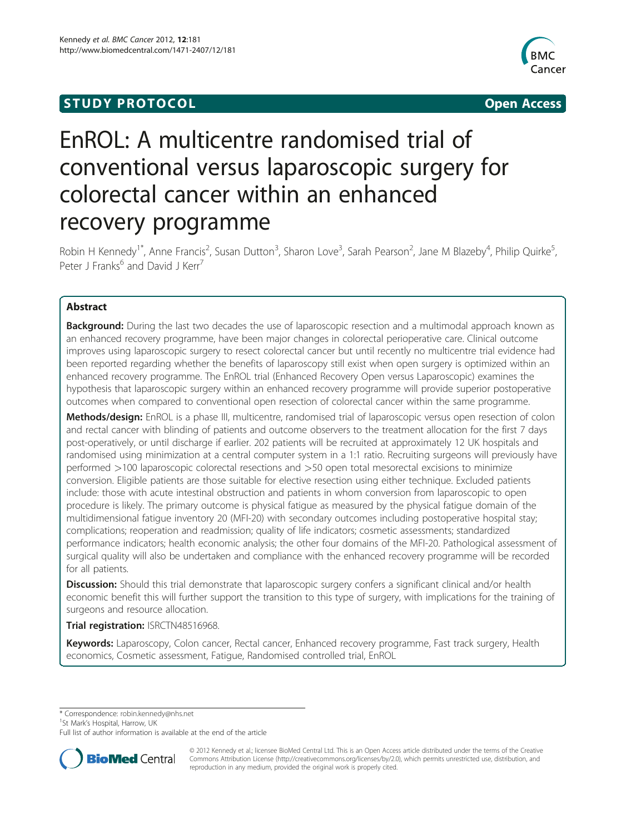# **STUDY PROTOCOL CONSUMING THE STUDY PROTOCOL**



# EnROL: A multicentre randomised trial of conventional versus laparoscopic surgery for colorectal cancer within an enhanced recovery programme

Robin H Kennedy<sup>1\*</sup>, Anne Francis<sup>2</sup>, Susan Dutton<sup>3</sup>, Sharon Love<sup>3</sup>, Sarah Pearson<sup>2</sup>, Jane M Blazeby<sup>4</sup>, Philip Quirke<sup>5</sup> , Peter J Franks<sup>6</sup> and David J Kerr<sup>7</sup>

## Abstract

Background: During the last two decades the use of laparoscopic resection and a multimodal approach known as an enhanced recovery programme, have been major changes in colorectal perioperative care. Clinical outcome improves using laparoscopic surgery to resect colorectal cancer but until recently no multicentre trial evidence had been reported regarding whether the benefits of laparoscopy still exist when open surgery is optimized within an enhanced recovery programme. The EnROL trial (Enhanced Recovery Open versus Laparoscopic) examines the hypothesis that laparoscopic surgery within an enhanced recovery programme will provide superior postoperative outcomes when compared to conventional open resection of colorectal cancer within the same programme.

Methods/design: EnROL is a phase III, multicentre, randomised trial of laparoscopic versus open resection of colon and rectal cancer with blinding of patients and outcome observers to the treatment allocation for the first 7 days post-operatively, or until discharge if earlier. 202 patients will be recruited at approximately 12 UK hospitals and randomised using minimization at a central computer system in a 1:1 ratio. Recruiting surgeons will previously have performed >100 laparoscopic colorectal resections and >50 open total mesorectal excisions to minimize conversion. Eligible patients are those suitable for elective resection using either technique. Excluded patients include: those with acute intestinal obstruction and patients in whom conversion from laparoscopic to open procedure is likely. The primary outcome is physical fatigue as measured by the physical fatigue domain of the multidimensional fatigue inventory 20 (MFI-20) with secondary outcomes including postoperative hospital stay; complications; reoperation and readmission; quality of life indicators; cosmetic assessments; standardized performance indicators; health economic analysis; the other four domains of the MFI-20. Pathological assessment of surgical quality will also be undertaken and compliance with the enhanced recovery programme will be recorded for all patients.

Discussion: Should this trial demonstrate that laparoscopic surgery confers a significant clinical and/or health economic benefit this will further support the transition to this type of surgery, with implications for the training of surgeons and resource allocation.

Trial registration: ISRCTN48516968.

Keywords: Laparoscopy, Colon cancer, Rectal cancer, Enhanced recovery programme, Fast track surgery, Health economics, Cosmetic assessment, Fatigue, Randomised controlled trial, EnROL

\* Correspondence: [robin.kennedy@nhs.net](mailto:robin.kennedy@nhs.net) <sup>1</sup>

<sup>1</sup>St Mark's Hospital, Harrow, UK

Full list of author information is available at the end of the article



© 2012 Kennedy et al.; licensee BioMed Central Ltd. This is an Open Access article distributed under the terms of the Creative Commons Attribution License [\(http://creativecommons.org/licenses/by/2.0\)](http://creativecommons.org/licenses/by/2.0), which permits unrestricted use, distribution, and reproduction in any medium, provided the original work is properly cited.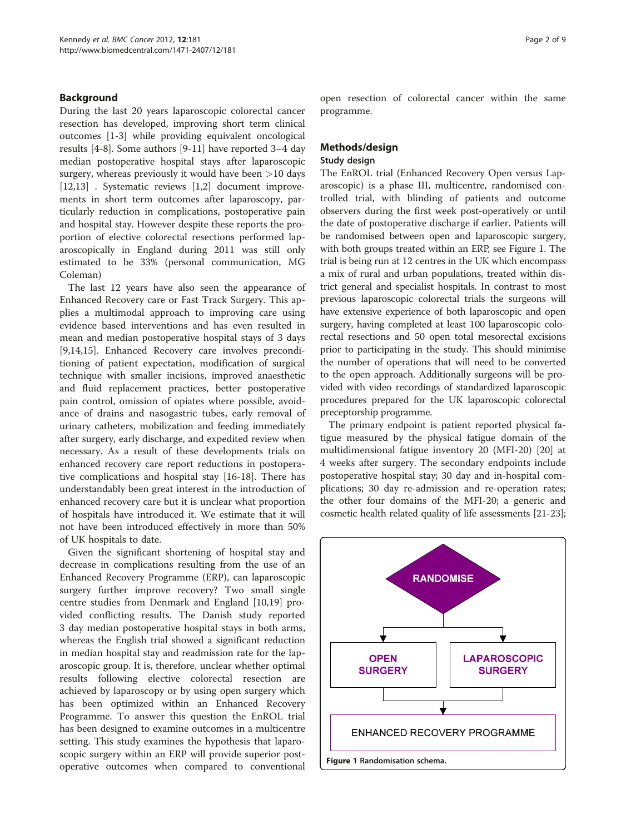#### Background

During the last 20 years laparoscopic colorectal cancer resection has developed, improving short term clinical outcomes [\[1](#page-7-0)-[3\]](#page-7-0) while providing equivalent oncological results [[4-8](#page-8-0)]. Some authors [[9-11](#page-8-0)] have reported 3–4 day median postoperative hospital stays after laparoscopic surgery, whereas previously it would have been >10 days [[12,13\]](#page-8-0) . Systematic reviews [[1,2\]](#page-7-0) document improvements in short term outcomes after laparoscopy, particularly reduction in complications, postoperative pain and hospital stay. However despite these reports the proportion of elective colorectal resections performed laparoscopically in England during 2011 was still only estimated to be 33% (personal communication, MG Coleman)

The last 12 years have also seen the appearance of Enhanced Recovery care or Fast Track Surgery. This applies a multimodal approach to improving care using evidence based interventions and has even resulted in mean and median postoperative hospital stays of 3 days [[9,14,15\]](#page-8-0). Enhanced Recovery care involves preconditioning of patient expectation, modification of surgical technique with smaller incisions, improved anaesthetic and fluid replacement practices, better postoperative pain control, omission of opiates where possible, avoidance of drains and nasogastric tubes, early removal of urinary catheters, mobilization and feeding immediately after surgery, early discharge, and expedited review when necessary. As a result of these developments trials on enhanced recovery care report reductions in postoperative complications and hospital stay [[16-18\]](#page-8-0). There has understandably been great interest in the introduction of enhanced recovery care but it is unclear what proportion of hospitals have introduced it. We estimate that it will not have been introduced effectively in more than 50% of UK hospitals to date.

Given the significant shortening of hospital stay and decrease in complications resulting from the use of an Enhanced Recovery Programme (ERP), can laparoscopic surgery further improve recovery? Two small single centre studies from Denmark and England [[10,19\]](#page-8-0) provided conflicting results. The Danish study reported 3 day median postoperative hospital stays in both arms, whereas the English trial showed a significant reduction in median hospital stay and readmission rate for the laparoscopic group. It is, therefore, unclear whether optimal results following elective colorectal resection are achieved by laparoscopy or by using open surgery which has been optimized within an Enhanced Recovery Programme. To answer this question the EnROL trial has been designed to examine outcomes in a multicentre setting. This study examines the hypothesis that laparoscopic surgery within an ERP will provide superior postoperative outcomes when compared to conventional

open resection of colorectal cancer within the same programme.

#### Methods/design Study design

The EnROL trial (Enhanced Recovery Open versus Laparoscopic) is a phase III, multicentre, randomised controlled trial, with blinding of patients and outcome observers during the first week post-operatively or until the date of postoperative discharge if earlier. Patients will be randomised between open and laparoscopic surgery, with both groups treated within an ERP, see Figure 1. The trial is being run at 12 centres in the UK which encompass a mix of rural and urban populations, treated within district general and specialist hospitals. In contrast to most previous laparoscopic colorectal trials the surgeons will have extensive experience of both laparoscopic and open surgery, having completed at least 100 laparoscopic colorectal resections and 50 open total mesorectal excisions prior to participating in the study. This should minimise the number of operations that will need to be converted to the open approach. Additionally surgeons will be provided with video recordings of standardized laparoscopic procedures prepared for the UK laparoscopic colorectal preceptorship programme.

The primary endpoint is patient reported physical fatigue measured by the physical fatigue domain of the multidimensional fatigue inventory 20 (MFI-20) [[20\]](#page-8-0) at 4 weeks after surgery. The secondary endpoints include postoperative hospital stay; 30 day and in-hospital complications; 30 day re-admission and re-operation rates; the other four domains of the MFI-20; a generic and cosmetic health related quality of life assessments [[21](#page-8-0)-[23](#page-8-0)];

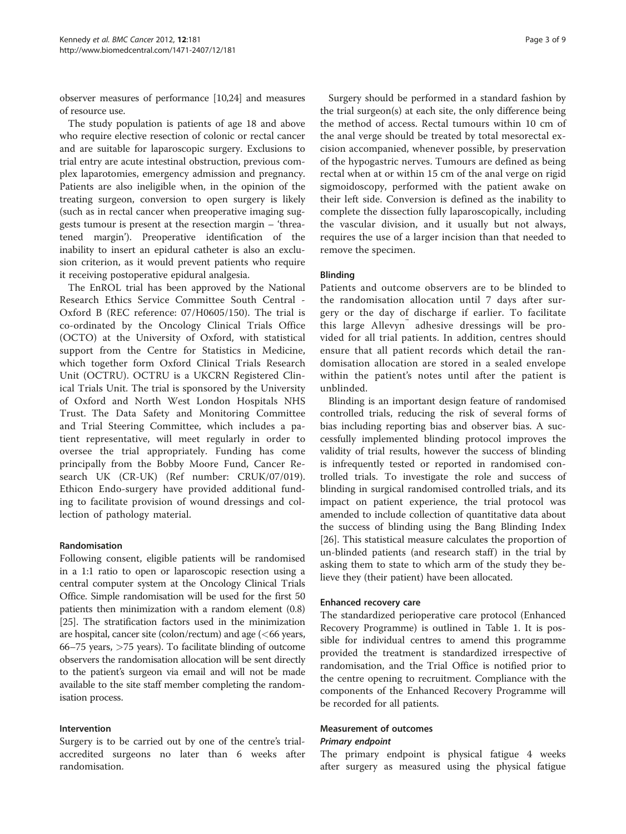observer measures of performance [\[10,24](#page-8-0)] and measures of resource use.

The study population is patients of age 18 and above who require elective resection of colonic or rectal cancer and are suitable for laparoscopic surgery. Exclusions to trial entry are acute intestinal obstruction, previous complex laparotomies, emergency admission and pregnancy. Patients are also ineligible when, in the opinion of the treating surgeon, conversion to open surgery is likely (such as in rectal cancer when preoperative imaging suggests tumour is present at the resection margin – 'threatened margin'). Preoperative identification of the inability to insert an epidural catheter is also an exclusion criterion, as it would prevent patients who require it receiving postoperative epidural analgesia.

The EnROL trial has been approved by the National Research Ethics Service Committee South Central - Oxford B (REC reference: 07/H0605/150). The trial is co-ordinated by the Oncology Clinical Trials Office (OCTO) at the University of Oxford, with statistical support from the Centre for Statistics in Medicine, which together form Oxford Clinical Trials Research Unit (OCTRU). OCTRU is a UKCRN Registered Clinical Trials Unit. The trial is sponsored by the University of Oxford and North West London Hospitals NHS Trust. The Data Safety and Monitoring Committee and Trial Steering Committee, which includes a patient representative, will meet regularly in order to oversee the trial appropriately. Funding has come principally from the Bobby Moore Fund, Cancer Research UK (CR-UK) (Ref number: CRUK/07/019). Ethicon Endo-surgery have provided additional funding to facilitate provision of wound dressings and collection of pathology material.

#### Randomisation

Following consent, eligible patients will be randomised in a 1:1 ratio to open or laparoscopic resection using a central computer system at the Oncology Clinical Trials Office. Simple randomisation will be used for the first 50 patients then minimization with a random element (0.8) [[25](#page-8-0)]. The stratification factors used in the minimization are hospital, cancer site (colon/rectum) and age  $(<$  66 years, 66–75 years, >75 years). To facilitate blinding of outcome observers the randomisation allocation will be sent directly to the patient's surgeon via email and will not be made available to the site staff member completing the randomisation process.

#### Intervention

Surgery is to be carried out by one of the centre's trialaccredited surgeons no later than 6 weeks after randomisation.

Surgery should be performed in a standard fashion by the trial surgeon(s) at each site, the only difference being the method of access. Rectal tumours within 10 cm of the anal verge should be treated by total mesorectal excision accompanied, whenever possible, by preservation of the hypogastric nerves. Tumours are defined as being rectal when at or within 15 cm of the anal verge on rigid sigmoidoscopy, performed with the patient awake on their left side. Conversion is defined as the inability to complete the dissection fully laparoscopically, including the vascular division, and it usually but not always, requires the use of a larger incision than that needed to remove the specimen.

#### Blinding

Patients and outcome observers are to be blinded to the randomisation allocation until 7 days after surgery or the day of discharge if earlier. To facilitate this large Allevyn™ adhesive dressings will be provided for all trial patients. In addition, centres should ensure that all patient records which detail the randomisation allocation are stored in a sealed envelope within the patient's notes until after the patient is unblinded.

Blinding is an important design feature of randomised controlled trials, reducing the risk of several forms of bias including reporting bias and observer bias. A successfully implemented blinding protocol improves the validity of trial results, however the success of blinding is infrequently tested or reported in randomised controlled trials. To investigate the role and success of blinding in surgical randomised controlled trials, and its impact on patient experience, the trial protocol was amended to include collection of quantitative data about the success of blinding using the Bang Blinding Index [[26\]](#page-8-0). This statistical measure calculates the proportion of un-blinded patients (and research staff) in the trial by asking them to state to which arm of the study they believe they (their patient) have been allocated.

#### Enhanced recovery care

The standardized perioperative care protocol (Enhanced Recovery Programme) is outlined in Table [1](#page-3-0). It is possible for individual centres to amend this programme provided the treatment is standardized irrespective of randomisation, and the Trial Office is notified prior to the centre opening to recruitment. Compliance with the components of the Enhanced Recovery Programme will be recorded for all patients.

#### Measurement of outcomes Primary endpoint

The primary endpoint is physical fatigue 4 weeks after surgery as measured using the physical fatigue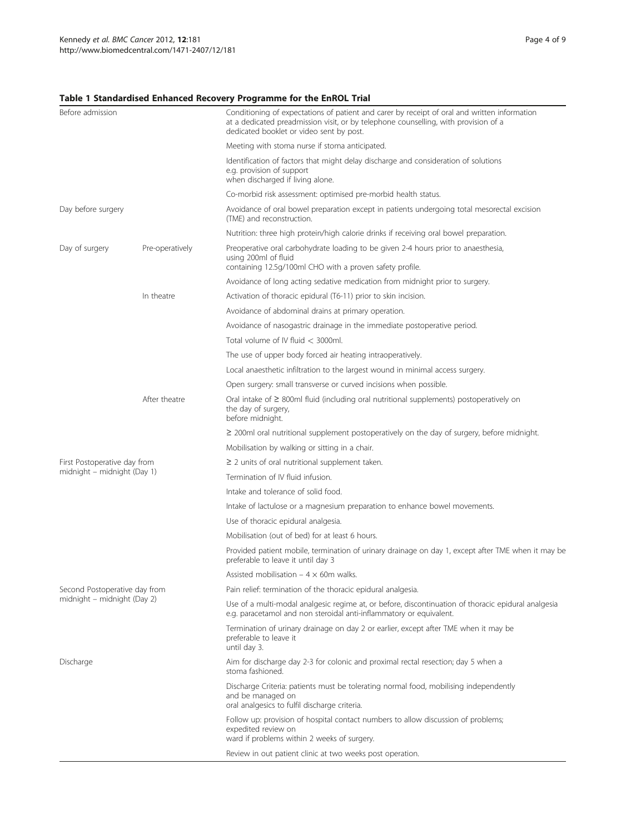### <span id="page-3-0"></span>Table 1 Standardised Enhanced Recovery Programme for the EnROL Trial

| Before admission              |                 | Conditioning of expectations of patient and carer by receipt of oral and written information<br>at a dedicated preadmission visit, or by telephone counselling, with provision of a<br>dedicated booklet or video sent by post. |  |  |
|-------------------------------|-----------------|---------------------------------------------------------------------------------------------------------------------------------------------------------------------------------------------------------------------------------|--|--|
|                               |                 | Meeting with stoma nurse if stoma anticipated.                                                                                                                                                                                  |  |  |
|                               |                 | Identification of factors that might delay discharge and consideration of solutions<br>e.g. provision of support<br>when discharged if living alone.                                                                            |  |  |
|                               |                 | Co-morbid risk assessment: optimised pre-morbid health status.                                                                                                                                                                  |  |  |
| Day before surgery            |                 | Avoidance of oral bowel preparation except in patients undergoing total mesorectal excision<br>(TME) and reconstruction.                                                                                                        |  |  |
|                               |                 | Nutrition: three high protein/high calorie drinks if receiving oral bowel preparation.                                                                                                                                          |  |  |
| Day of surgery                | Pre-operatively | Preoperative oral carbohydrate loading to be given 2-4 hours prior to anaesthesia,<br>using 200ml of fluid<br>containing 12.5g/100ml CHO with a proven safety profile.                                                          |  |  |
|                               |                 | Avoidance of long acting sedative medication from midnight prior to surgery.                                                                                                                                                    |  |  |
|                               | In theatre      | Activation of thoracic epidural (T6-11) prior to skin incision.                                                                                                                                                                 |  |  |
|                               |                 | Avoidance of abdominal drains at primary operation.                                                                                                                                                                             |  |  |
|                               |                 | Avoidance of nasogastric drainage in the immediate postoperative period.                                                                                                                                                        |  |  |
|                               |                 | Total volume of IV fluid $<$ 3000ml.                                                                                                                                                                                            |  |  |
|                               |                 | The use of upper body forced air heating intraoperatively.                                                                                                                                                                      |  |  |
|                               |                 | Local anaesthetic infiltration to the largest wound in minimal access surgery.                                                                                                                                                  |  |  |
|                               |                 | Open surgery: small transverse or curved incisions when possible.                                                                                                                                                               |  |  |
|                               | After theatre   | Oral intake of $\geq$ 800ml fluid (including oral nutritional supplements) postoperatively on<br>the day of surgery,<br>before midnight.                                                                                        |  |  |
|                               |                 | $\geq$ 200ml oral nutritional supplement postoperatively on the day of surgery, before midnight.                                                                                                                                |  |  |
|                               |                 | Mobilisation by walking or sitting in a chair.                                                                                                                                                                                  |  |  |
| First Postoperative day from  |                 | $\geq$ 2 units of oral nutritional supplement taken.                                                                                                                                                                            |  |  |
| midnight – midnight (Day 1)   |                 | Termination of IV fluid infusion.                                                                                                                                                                                               |  |  |
|                               |                 | Intake and tolerance of solid food.                                                                                                                                                                                             |  |  |
|                               |                 | Intake of lactulose or a magnesium preparation to enhance bowel movements.                                                                                                                                                      |  |  |
|                               |                 | Use of thoracic epidural analgesia.                                                                                                                                                                                             |  |  |
|                               |                 | Mobilisation (out of bed) for at least 6 hours.                                                                                                                                                                                 |  |  |
|                               |                 | Provided patient mobile, termination of urinary drainage on day 1, except after TME when it may be<br>preferable to leave it until day 3                                                                                        |  |  |
|                               |                 | Assisted mobilisation – $4 \times 60$ m walks.                                                                                                                                                                                  |  |  |
| Second Postoperative day from |                 | Pain relief: termination of the thoracic epidural analgesia.                                                                                                                                                                    |  |  |
| midnight - midnight (Day 2)   |                 | Use of a multi-modal analgesic regime at, or before, discontinuation of thoracic epidural analgesia<br>e.g. paracetamol and non steroidal anti-inflammatory or equivalent.                                                      |  |  |
|                               |                 | Termination of urinary drainage on day 2 or earlier, except after TME when it may be<br>preferable to leave it<br>until day 3.                                                                                                  |  |  |
| Discharge                     |                 | Aim for discharge day 2-3 for colonic and proximal rectal resection; day 5 when a<br>stoma fashioned.                                                                                                                           |  |  |
|                               |                 | Discharge Criteria: patients must be tolerating normal food, mobilising independently<br>and be managed on<br>oral analgesics to fulfil discharge criteria.                                                                     |  |  |
|                               |                 | Follow up: provision of hospital contact numbers to allow discussion of problems;<br>expedited review on<br>ward if problems within 2 weeks of surgery.                                                                         |  |  |
|                               |                 | Review in out patient clinic at two weeks post operation.                                                                                                                                                                       |  |  |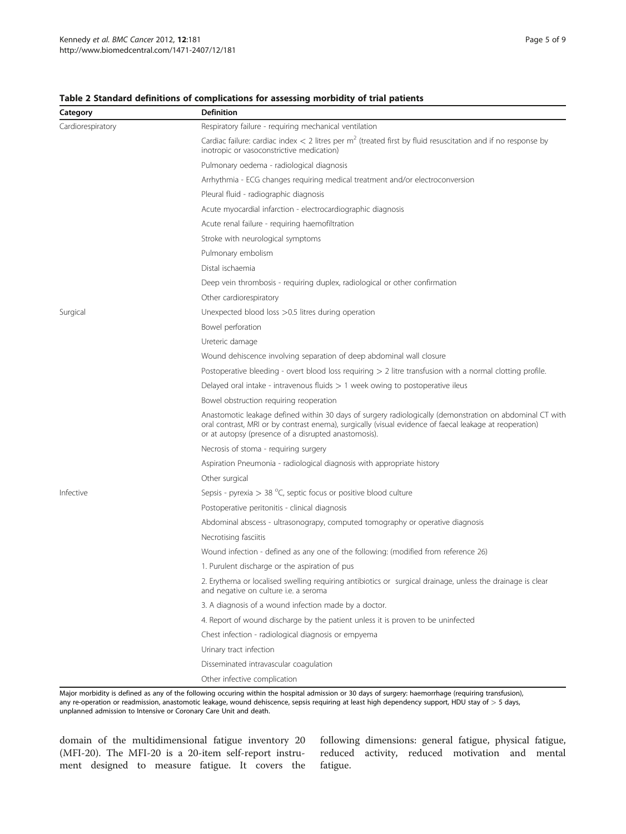#### <span id="page-4-0"></span>Table 2 Standard definitions of complications for assessing morbidity of trial patients

| Category          | <b>Definition</b>                                                                                                                                                                                                                                                           |  |  |  |  |
|-------------------|-----------------------------------------------------------------------------------------------------------------------------------------------------------------------------------------------------------------------------------------------------------------------------|--|--|--|--|
| Cardiorespiratory | Respiratory failure - requiring mechanical ventilation                                                                                                                                                                                                                      |  |  |  |  |
|                   | Cardiac failure: cardiac index $<$ 2 litres per m <sup>2</sup> (treated first by fluid resuscitation and if no response by<br>inotropic or vasoconstrictive medication)                                                                                                     |  |  |  |  |
|                   | Pulmonary oedema - radiological diagnosis                                                                                                                                                                                                                                   |  |  |  |  |
|                   | Arrhythmia - ECG changes requiring medical treatment and/or electroconversion                                                                                                                                                                                               |  |  |  |  |
|                   | Pleural fluid - radiographic diagnosis                                                                                                                                                                                                                                      |  |  |  |  |
|                   | Acute myocardial infarction - electrocardiographic diagnosis                                                                                                                                                                                                                |  |  |  |  |
|                   | Acute renal failure - requiring haemofiltration                                                                                                                                                                                                                             |  |  |  |  |
|                   | Stroke with neurological symptoms                                                                                                                                                                                                                                           |  |  |  |  |
|                   | Pulmonary embolism                                                                                                                                                                                                                                                          |  |  |  |  |
|                   | Distal ischaemia                                                                                                                                                                                                                                                            |  |  |  |  |
|                   | Deep vein thrombosis - requiring duplex, radiological or other confirmation                                                                                                                                                                                                 |  |  |  |  |
|                   | Other cardiorespiratory                                                                                                                                                                                                                                                     |  |  |  |  |
| Surgical          | Unexpected blood loss > 0.5 litres during operation                                                                                                                                                                                                                         |  |  |  |  |
|                   | Bowel perforation                                                                                                                                                                                                                                                           |  |  |  |  |
|                   | Ureteric damage                                                                                                                                                                                                                                                             |  |  |  |  |
|                   | Wound dehiscence involving separation of deep abdominal wall closure                                                                                                                                                                                                        |  |  |  |  |
|                   | Postoperative bleeding - overt blood loss requiring $> 2$ litre transfusion with a normal clotting profile.                                                                                                                                                                 |  |  |  |  |
|                   | Delayed oral intake - intravenous fluids $> 1$ week owing to postoperative ileus                                                                                                                                                                                            |  |  |  |  |
|                   | Bowel obstruction requiring reoperation                                                                                                                                                                                                                                     |  |  |  |  |
|                   | Anastomotic leakage defined within 30 days of surgery radiologically (demonstration on abdominal CT with<br>oral contrast, MRI or by contrast enema), surgically (visual evidence of faecal leakage at reoperation)<br>or at autopsy (presence of a disrupted anastomosis). |  |  |  |  |
|                   | Necrosis of stoma - requiring surgery                                                                                                                                                                                                                                       |  |  |  |  |
|                   | Aspiration Pneumonia - radiological diagnosis with appropriate history                                                                                                                                                                                                      |  |  |  |  |
|                   | Other surgical                                                                                                                                                                                                                                                              |  |  |  |  |
| Infective         | Sepsis - pyrexia $>$ 38 °C, septic focus or positive blood culture                                                                                                                                                                                                          |  |  |  |  |
|                   | Postoperative peritonitis - clinical diagnosis                                                                                                                                                                                                                              |  |  |  |  |
|                   | Abdominal abscess - ultrasonograpy, computed tomography or operative diagnosis                                                                                                                                                                                              |  |  |  |  |
|                   | Necrotising fasciitis                                                                                                                                                                                                                                                       |  |  |  |  |
|                   | Wound infection - defined as any one of the following: (modified from reference 26)                                                                                                                                                                                         |  |  |  |  |
|                   | 1. Purulent discharge or the aspiration of pus                                                                                                                                                                                                                              |  |  |  |  |
|                   | 2. Erythema or localised swelling requiring antibiotics or surgical drainage, unless the drainage is clear<br>and negative on culture i.e. a seroma                                                                                                                         |  |  |  |  |
|                   | 3. A diagnosis of a wound infection made by a doctor.                                                                                                                                                                                                                       |  |  |  |  |
|                   | 4. Report of wound discharge by the patient unless it is proven to be uninfected                                                                                                                                                                                            |  |  |  |  |
|                   | Chest infection - radiological diagnosis or empyema                                                                                                                                                                                                                         |  |  |  |  |
|                   | Urinary tract infection                                                                                                                                                                                                                                                     |  |  |  |  |
|                   | Disseminated intravascular coagulation                                                                                                                                                                                                                                      |  |  |  |  |
|                   | Other infective complication                                                                                                                                                                                                                                                |  |  |  |  |

Major morbidity is defined as any of the following occuring within the hospital admission or 30 days of surgery: haemorrhage (requiring transfusion), any re-operation or readmission, anastomotic leakage, wound dehiscence, sepsis requiring at least high dependency support, HDU stay of  $>$  5 days, unplanned admission to Intensive or Coronary Care Unit and death.

domain of the multidimensional fatigue inventory 20 (MFI-20). The MFI-20 is a 20-item self-report instrument designed to measure fatigue. It covers the

following dimensions: general fatigue, physical fatigue, reduced activity, reduced motivation and mental fatigue.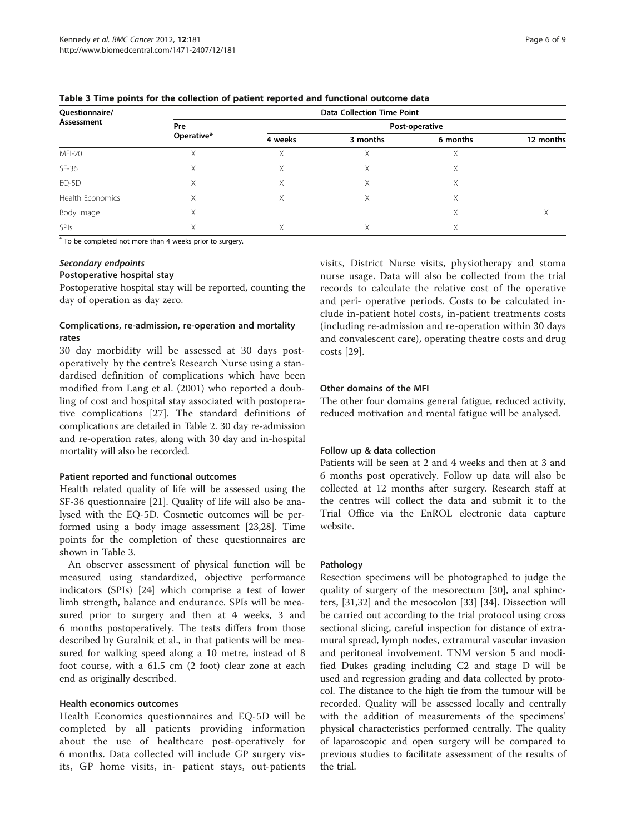| Questionnaire/   | <b>Data Collection Time Point</b> |                |          |          |           |  |  |
|------------------|-----------------------------------|----------------|----------|----------|-----------|--|--|
| Assessment       | Pre<br>Operative*                 | Post-operative |          |          |           |  |  |
|                  |                                   | 4 weeks        | 3 months | 6 months | 12 months |  |  |
| <b>MFI-20</b>    | Χ                                 | X              | Χ        | Χ        |           |  |  |
| $SF-36$          | X                                 | X              | Χ        | Χ        |           |  |  |
| EQ-5D            | Χ                                 | X              | Χ        | Χ        |           |  |  |
| Health Economics | Χ                                 | Χ              | Χ        | Χ        |           |  |  |
| Body Image       | X                                 |                |          | Χ        | Х         |  |  |
| <b>SPIs</b>      | Χ                                 | X              | Χ        | Χ        |           |  |  |

Table 3 Time points for the collection of patient reported and functional outcome data

\* To be completed not more than 4 weeks prior to surgery.

#### Secondary endpoints

#### Postoperative hospital stay

Postoperative hospital stay will be reported, counting the day of operation as day zero.

#### Complications, re-admission, re-operation and mortality rates

30 day morbidity will be assessed at 30 days postoperatively by the centre's Research Nurse using a standardised definition of complications which have been modified from Lang et al. (2001) who reported a doubling of cost and hospital stay associated with postoperative complications [[27\]](#page-8-0). The standard definitions of complications are detailed in Table [2.](#page-4-0) 30 day re-admission and re-operation rates, along with 30 day and in-hospital mortality will also be recorded.

#### Patient reported and functional outcomes

Health related quality of life will be assessed using the SF-36 questionnaire [\[21\]](#page-8-0). Quality of life will also be analysed with the EQ-5D. Cosmetic outcomes will be performed using a body image assessment [\[23,28](#page-8-0)]. Time points for the completion of these questionnaires are shown in Table 3.

An observer assessment of physical function will be measured using standardized, objective performance indicators (SPIs) [[24](#page-8-0)] which comprise a test of lower limb strength, balance and endurance. SPIs will be measured prior to surgery and then at 4 weeks, 3 and 6 months postoperatively. The tests differs from those described by Guralnik et al., in that patients will be measured for walking speed along a 10 metre, instead of 8 foot course, with a 61.5 cm (2 foot) clear zone at each end as originally described.

#### Health economics outcomes

Health Economics questionnaires and EQ-5D will be completed by all patients providing information about the use of healthcare post-operatively for 6 months. Data collected will include GP surgery visits, GP home visits, in- patient stays, out-patients visits, District Nurse visits, physiotherapy and stoma nurse usage. Data will also be collected from the trial records to calculate the relative cost of the operative and peri- operative periods. Costs to be calculated include in-patient hotel costs, in-patient treatments costs (including re-admission and re-operation within 30 days and convalescent care), operating theatre costs and drug costs [\[29](#page-8-0)].

#### Other domains of the MFI

The other four domains general fatigue, reduced activity, reduced motivation and mental fatigue will be analysed.

#### Follow up & data collection

Patients will be seen at 2 and 4 weeks and then at 3 and 6 months post operatively. Follow up data will also be collected at 12 months after surgery. Research staff at the centres will collect the data and submit it to the Trial Office via the EnROL electronic data capture website.

#### Pathology

Resection specimens will be photographed to judge the quality of surgery of the mesorectum [[30](#page-8-0)], anal sphincters, [\[31,32](#page-8-0)] and the mesocolon [[33\]](#page-8-0) [\[34](#page-8-0)]. Dissection will be carried out according to the trial protocol using cross sectional slicing, careful inspection for distance of extramural spread, lymph nodes, extramural vascular invasion and peritoneal involvement. TNM version 5 and modified Dukes grading including C2 and stage D will be used and regression grading and data collected by protocol. The distance to the high tie from the tumour will be recorded. Quality will be assessed locally and centrally with the addition of measurements of the specimens' physical characteristics performed centrally. The quality of laparoscopic and open surgery will be compared to previous studies to facilitate assessment of the results of the trial.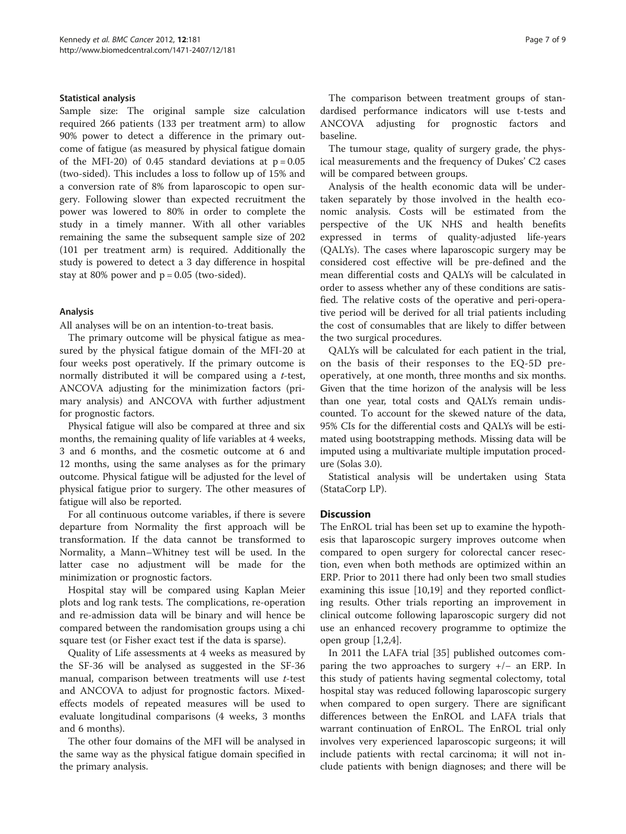#### Statistical analysis

Sample size: The original sample size calculation required 266 patients (133 per treatment arm) to allow 90% power to detect a difference in the primary outcome of fatigue (as measured by physical fatigue domain of the MFI-20) of 0.45 standard deviations at  $p = 0.05$ (two-sided). This includes a loss to follow up of 15% and a conversion rate of 8% from laparoscopic to open surgery. Following slower than expected recruitment the power was lowered to 80% in order to complete the study in a timely manner. With all other variables remaining the same the subsequent sample size of 202 (101 per treatment arm) is required. Additionally the study is powered to detect a 3 day difference in hospital stay at 80% power and  $p = 0.05$  (two-sided).

#### Analysis

All analyses will be on an intention-to-treat basis.

The primary outcome will be physical fatigue as measured by the physical fatigue domain of the MFI-20 at four weeks post operatively. If the primary outcome is normally distributed it will be compared using a t-test, ANCOVA adjusting for the minimization factors (primary analysis) and ANCOVA with further adjustment for prognostic factors.

Physical fatigue will also be compared at three and six months, the remaining quality of life variables at 4 weeks, 3 and 6 months, and the cosmetic outcome at 6 and 12 months, using the same analyses as for the primary outcome. Physical fatigue will be adjusted for the level of physical fatigue prior to surgery. The other measures of fatigue will also be reported.

For all continuous outcome variables, if there is severe departure from Normality the first approach will be transformation. If the data cannot be transformed to Normality, a Mann–Whitney test will be used. In the latter case no adjustment will be made for the minimization or prognostic factors.

Hospital stay will be compared using Kaplan Meier plots and log rank tests. The complications, re-operation and re-admission data will be binary and will hence be compared between the randomisation groups using a chi square test (or Fisher exact test if the data is sparse).

Quality of Life assessments at 4 weeks as measured by the SF-36 will be analysed as suggested in the SF-36 manual, comparison between treatments will use t-test and ANCOVA to adjust for prognostic factors. Mixedeffects models of repeated measures will be used to evaluate longitudinal comparisons (4 weeks, 3 months and 6 months).

The other four domains of the MFI will be analysed in the same way as the physical fatigue domain specified in the primary analysis.

The comparison between treatment groups of standardised performance indicators will use t-tests and ANCOVA adjusting for prognostic factors and baseline.

The tumour stage, quality of surgery grade, the physical measurements and the frequency of Dukes' C2 cases will be compared between groups.

Analysis of the health economic data will be undertaken separately by those involved in the health economic analysis. Costs will be estimated from the perspective of the UK NHS and health benefits expressed in terms of quality-adjusted life-years (QALYs). The cases where laparoscopic surgery may be considered cost effective will be pre-defined and the mean differential costs and QALYs will be calculated in order to assess whether any of these conditions are satisfied. The relative costs of the operative and peri-operative period will be derived for all trial patients including the cost of consumables that are likely to differ between the two surgical procedures.

QALYs will be calculated for each patient in the trial, on the basis of their responses to the EQ-5D preoperatively, at one month, three months and six months. Given that the time horizon of the analysis will be less than one year, total costs and QALYs remain undiscounted. To account for the skewed nature of the data, 95% CIs for the differential costs and QALYs will be estimated using bootstrapping methods. Missing data will be imputed using a multivariate multiple imputation procedure (Solas 3.0).

Statistical analysis will be undertaken using Stata (StataCorp LP).

#### **Discussion**

The EnROL trial has been set up to examine the hypothesis that laparoscopic surgery improves outcome when compared to open surgery for colorectal cancer resection, even when both methods are optimized within an ERP. Prior to 2011 there had only been two small studies examining this issue [[10,19\]](#page-8-0) and they reported conflicting results. Other trials reporting an improvement in clinical outcome following laparoscopic surgery did not use an enhanced recovery programme to optimize the open group [[1,2,](#page-7-0)[4\]](#page-8-0).

In 2011 the LAFA trial [\[35\]](#page-8-0) published outcomes comparing the two approaches to surgery +/− an ERP. In this study of patients having segmental colectomy, total hospital stay was reduced following laparoscopic surgery when compared to open surgery. There are significant differences between the EnROL and LAFA trials that warrant continuation of EnROL. The EnROL trial only involves very experienced laparoscopic surgeons; it will include patients with rectal carcinoma; it will not include patients with benign diagnoses; and there will be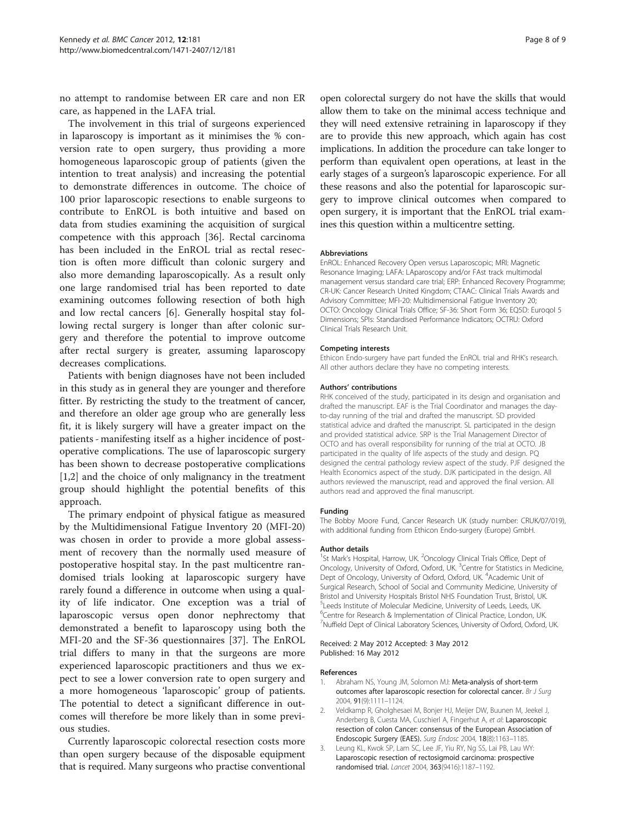<span id="page-7-0"></span>no attempt to randomise between ER care and non ER care, as happened in the LAFA trial.

The involvement in this trial of surgeons experienced in laparoscopy is important as it minimises the % conversion rate to open surgery, thus providing a more homogeneous laparoscopic group of patients (given the intention to treat analysis) and increasing the potential to demonstrate differences in outcome. The choice of 100 prior laparoscopic resections to enable surgeons to contribute to EnROL is both intuitive and based on data from studies examining the acquisition of surgical competence with this approach [\[36](#page-8-0)]. Rectal carcinoma has been included in the EnROL trial as rectal resection is often more difficult than colonic surgery and also more demanding laparoscopically. As a result only one large randomised trial has been reported to date examining outcomes following resection of both high and low rectal cancers [[6\]](#page-8-0). Generally hospital stay following rectal surgery is longer than after colonic surgery and therefore the potential to improve outcome after rectal surgery is greater, assuming laparoscopy decreases complications.

Patients with benign diagnoses have not been included in this study as in general they are younger and therefore fitter. By restricting the study to the treatment of cancer, and therefore an older age group who are generally less fit, it is likely surgery will have a greater impact on the patients - manifesting itself as a higher incidence of postoperative complications. The use of laparoscopic surgery has been shown to decrease postoperative complications [1,2] and the choice of only malignancy in the treatment group should highlight the potential benefits of this approach.

The primary endpoint of physical fatigue as measured by the Multidimensional Fatigue Inventory 20 (MFI-20) was chosen in order to provide a more global assessment of recovery than the normally used measure of postoperative hospital stay. In the past multicentre randomised trials looking at laparoscopic surgery have rarely found a difference in outcome when using a quality of life indicator. One exception was a trial of laparoscopic versus open donor nephrectomy that demonstrated a benefit to laparoscopy using both the MFI-20 and the SF-36 questionnaires [\[37\]](#page-8-0). The EnROL trial differs to many in that the surgeons are more experienced laparoscopic practitioners and thus we expect to see a lower conversion rate to open surgery and a more homogeneous 'laparoscopic' group of patients. The potential to detect a significant difference in outcomes will therefore be more likely than in some previous studies.

Currently laparoscopic colorectal resection costs more than open surgery because of the disposable equipment that is required. Many surgeons who practise conventional open colorectal surgery do not have the skills that would allow them to take on the minimal access technique and they will need extensive retraining in laparoscopy if they are to provide this new approach, which again has cost implications. In addition the procedure can take longer to perform than equivalent open operations, at least in the early stages of a surgeon's laparoscopic experience. For all these reasons and also the potential for laparoscopic surgery to improve clinical outcomes when compared to open surgery, it is important that the EnROL trial examines this question within a multicentre setting.

#### Abbreviations

EnROL: Enhanced Recovery Open versus Laparoscopic; MRI: Magnetic Resonance Imaging; LAFA: LAparoscopy and/or FAst track multimodal management versus standard care trial; ERP: Enhanced Recovery Programme; CR-UK: Cancer Research United Kingdom; CTAAC: Clinical Trials Awards and Advisory Committee; MFI-20: Multidimensional Fatigue Inventory 20; OCTO: Oncology Clinical Trials Office; SF-36: Short Form 36; EQ5D: Euroqol 5 Dimensions; SPIs: Standardised Performance Indicators; OCTRU: Oxford Clinical Trials Research Unit.

#### Competing interests

Ethicon Endo-surgery have part funded the EnROL trial and RHK's research. All other authors declare they have no competing interests.

#### Authors' contributions

RHK conceived of the study, participated in its design and organisation and drafted the manuscript. EAF is the Trial Coordinator and manages the dayto-day running of the trial and drafted the manuscript. SD provided statistical advice and drafted the manuscript. SL participated in the design and provided statistical advice. SRP is the Trial Management Director of OCTO and has overall responsibility for running of the trial at OCTO. JB participated in the quality of life aspects of the study and design. PQ designed the central pathology review aspect of the study. PJF designed the Health Economics aspect of the study. DJK participated in the design. All authors reviewed the manuscript, read and approved the final version. All authors read and approved the final manuscript.

#### Funding

The Bobby Moore Fund, Cancer Research UK (study number: CRUK/07/019), with additional funding from Ethicon Endo-surgery (Europe) GmbH.

#### Author details

<sup>1</sup>St Mark's Hospital, Harrow, UK. <sup>2</sup>Oncology Clinical Trials Office, Dept of Oncology, University of Oxford, Oxford, UK.<sup>3</sup> Centre for Statistics in Medicine, Dept of Oncology, University of Oxford, Oxford, UK. <sup>4</sup>Academic Unit of Surgical Research, School of Social and Community Medicine, University of Bristol and University Hospitals Bristol NHS Foundation Trust, Bristol, UK. 5 Leeds Institute of Molecular Medicine, University of Leeds, Leeds, UK. 6 Centre for Research & Implementation of Clinical Practice, London, UK. <sup>7</sup>Nuffield Dept of Clinical Laboratory Sciences, University of Oxford, Oxford, UK

#### Received: 2 May 2012 Accepted: 3 May 2012 Published: 16 May 2012

#### References

- 1. Abraham NS, Young JM, Solomon MJ: Meta-analysis of short-term outcomes after laparoscopic resection for colorectal cancer. Br J Surg 2004, 91(9):1111–1124.
- 2. Veldkamp R, Gholghesaei M, Bonjer HJ, Meijer DW, Buunen M, Jeekel J, Anderberg B, Cuesta MA, Cuschierl A, Fingerhut A, et al: Laparoscopic resection of colon Cancer: consensus of the European Association of Endoscopic Surgery (EAES). Surg Endosc 2004, 18(8):1163–1185.
- 3. Leung KL, Kwok SP, Lam SC, Lee JF, Yiu RY, Ng SS, Lai PB, Lau WY: Laparoscopic resection of rectosigmoid carcinoma: prospective randomised trial. Lancet 2004, 363(9416):1187–1192.